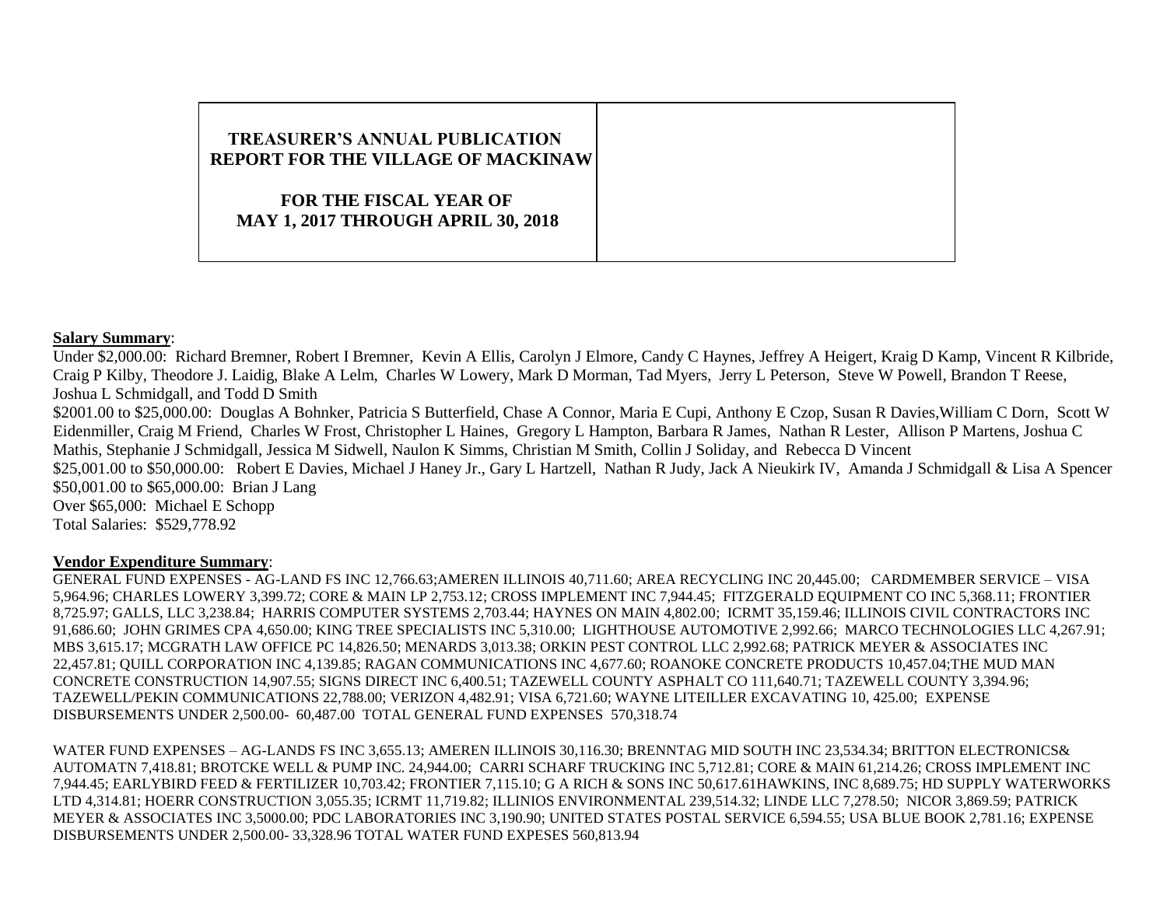# **TREASURER'S ANNUAL PUBLICATION REPORT FOR THE VILLAGE OF MACKINAW FOR THE FISCAL YEAR OF MAY 1, 2017 THROUGH APRIL 30, 2018**

## **Salary Summary**:

Under \$2,000.00: Richard Bremner, Robert I Bremner, Kevin A Ellis, Carolyn J Elmore, Candy C Haynes, Jeffrey A Heigert, Kraig D Kamp, Vincent R Kilbride, Craig P Kilby, Theodore J. Laidig, Blake A Lelm, Charles W Lowery, Mark D Morman, Tad Myers, Jerry L Peterson, Steve W Powell, Brandon T Reese, Joshua L Schmidgall, and Todd D Smith \$2001.00 to \$25,000.00: Douglas A Bohnker, Patricia S Butterfield, Chase A Connor, Maria E Cupi, Anthony E Czop, Susan R Davies, William C Dorn, Scott W Eidenmiller, Craig M Friend, Charles W Frost, Christopher L Haines, Gregory L Hampton, Barbara R James, Nathan R Lester, Allison P Martens, Joshua C Mathis, Stephanie J Schmidgall, Jessica M Sidwell, Naulon K Simms, Christian M Smith, Collin J Soliday, and Rebecca D Vincent \$25,001.00 to \$50,000.00: Robert E Davies, Michael J Haney Jr., Gary L Hartzell, Nathan R Judy, Jack A Nieukirk IV, Amanda J Schmidgall & Lisa A Spencer \$50,001.00 to \$65,000.00: Brian J Lang Over \$65,000: Michael E Schopp Total Salaries: \$529,778.92

## **Vendor Expenditure Summary**:

GENERAL FUND EXPENSES - AG-LAND FS INC 12,766.63;AMEREN ILLINOIS 40,711.60; AREA RECYCLING INC 20,445.00; CARDMEMBER SERVICE – VISA 5,964.96; CHARLES LOWERY 3,399.72; CORE & MAIN LP 2,753.12; CROSS IMPLEMENT INC 7,944.45; FITZGERALD EQUIPMENT CO INC 5,368.11; FRONTIER 8,725.97; GALLS, LLC 3,238.84; HARRIS COMPUTER SYSTEMS 2,703.44; HAYNES ON MAIN 4,802.00; ICRMT 35,159.46; ILLINOIS CIVIL CONTRACTORS INC 91,686.60; JOHN GRIMES CPA 4,650.00; KING TREE SPECIALISTS INC 5,310.00; LIGHTHOUSE AUTOMOTIVE 2,992.66; MARCO TECHNOLOGIES LLC 4,267.91; MBS 3,615.17; MCGRATH LAW OFFICE PC 14,826.50; MENARDS 3,013.38; ORKIN PEST CONTROL LLC 2,992.68; PATRICK MEYER & ASSOCIATES INC 22,457.81; QUILL CORPORATION INC 4,139.85; RAGAN COMMUNICATIONS INC 4,677.60; ROANOKE CONCRETE PRODUCTS 10,457.04;THE MUD MAN CONCRETE CONSTRUCTION 14,907.55; SIGNS DIRECT INC 6,400.51; TAZEWELL COUNTY ASPHALT CO 111,640.71; TAZEWELL COUNTY 3,394.96; TAZEWELL/PEKIN COMMUNICATIONS 22,788.00; VERIZON 4,482.91; VISA 6,721.60; WAYNE LITEILLER EXCAVATING 10, 425.00; EXPENSE DISBURSEMENTS UNDER 2,500.00- 60,487.00 TOTAL GENERAL FUND EXPENSES 570,318.74

WATER FUND EXPENSES – AG-LANDS FS INC 3,655.13; AMEREN ILLINOIS 30,116.30; BRENNTAG MID SOUTH INC 23,534.34; BRITTON ELECTRONICS& AUTOMATN 7,418.81; BROTCKE WELL & PUMP INC. 24,944.00; CARRI SCHARF TRUCKING INC 5,712.81; CORE & MAIN 61,214.26; CROSS IMPLEMENT INC 7,944.45; EARLYBIRD FEED & FERTILIZER 10,703.42; FRONTIER 7,115.10; G A RICH & SONS INC 50,617.61HAWKINS, INC 8,689.75; HD SUPPLY WATERWORKS LTD 4,314.81; HOERR CONSTRUCTION 3,055.35; ICRMT 11,719.82; ILLINIOS ENVIRONMENTAL 239,514.32; LINDE LLC 7,278.50; NICOR 3,869.59; PATRICK MEYER & ASSOCIATES INC 3,5000.00; PDC LABORATORIES INC 3,190.90; UNITED STATES POSTAL SERVICE 6,594.55; USA BLUE BOOK 2,781.16; EXPENSE DISBURSEMENTS UNDER 2,500.00- 33,328.96 TOTAL WATER FUND EXPESES 560,813.94